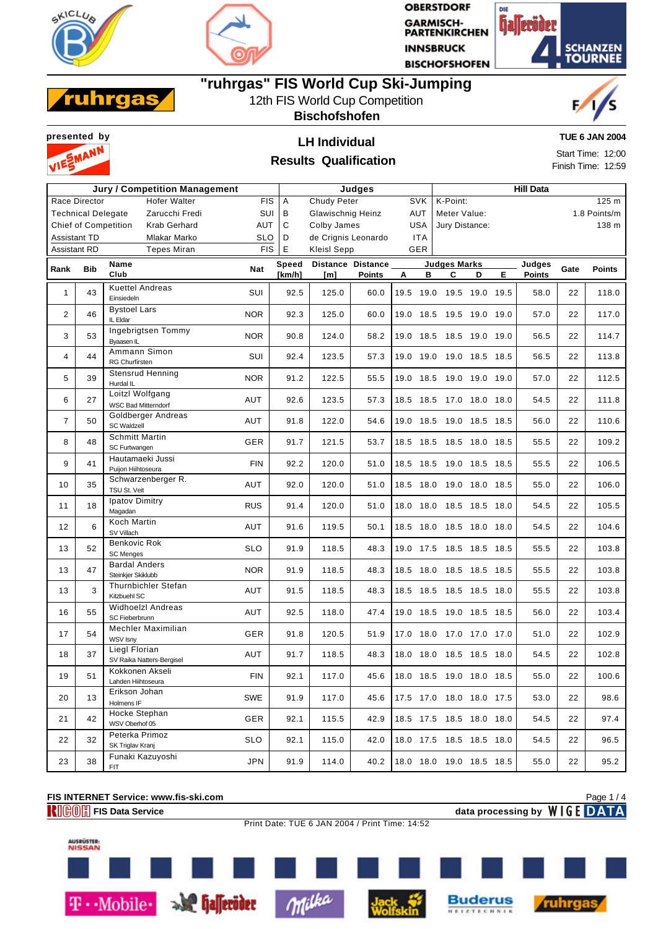



**OBERSTDORF GARMISCH-<br>PARTENKIRCHEN INNSBRUCK BISCHOFSHOFEN** 





## **"ruhrgas" FIS World Cup Ski-Jumping**

## 12th FIS World Cup Competition

**Bischofshofen**





#### **Results Qualification**

**TUE 6 JAN 2004**

Start Time: 12:00 Finish Time: 12:59

|                     |                           | <b>Jury / Competition Management</b>              | Judges     |              |                     |                          |                          | <b>Hill Data</b> |                     |   |    |               |      |                  |
|---------------------|---------------------------|---------------------------------------------------|------------|--------------|---------------------|--------------------------|--------------------------|------------------|---------------------|---|----|---------------|------|------------------|
|                     | Race Director             | <b>Hofer Walter</b>                               | FIS        | A            | Chudy Peter         |                          | <b>SVK</b>               |                  | K-Point:            |   |    |               |      | 125 <sub>m</sub> |
|                     | <b>Technical Delegate</b> | Zarucchi Fredi                                    | SUI        | В            | Glawischnig Heinz   |                          | AUT                      |                  | Meter Value:        |   |    |               |      | 1.8 Points/m     |
|                     |                           | <b>Chief of Competition</b><br>Krab Gerhard       | AUT        | C            | Colby James         |                          | <b>USA</b>               |                  | Jury Distance:      |   |    |               |      | 138 m            |
|                     | Assistant TD              | Mlakar Marko                                      | <b>SLO</b> | D            | de Crignis Leonardo |                          | <b>ITA</b>               |                  |                     |   |    |               |      |                  |
| <b>Assistant RD</b> |                           | <b>Tepes Miran</b>                                | <b>FIS</b> | $\mathsf E$  | <b>Kleisl Sepp</b>  |                          | <b>GER</b>               |                  |                     |   |    |               |      |                  |
|                     |                           | Name                                              |            | <b>Speed</b> |                     | <b>Distance Distance</b> |                          |                  | <b>Judges Marks</b> |   |    | Judges        |      |                  |
| Rank                | <b>Bib</b>                | Club                                              | <b>Nat</b> | [km/h]       | [m]                 | Points                   | А                        | в                | C                   | D | E. | <b>Points</b> | Gate | <b>Points</b>    |
| $\mathbf{1}$        | 43                        | <b>Kuettel Andreas</b><br>Einsiedeln              | SUI        | 92.5         | 125.0               | 60.0                     | 19.5                     | 19.0             | 19.5 19.0 19.5      |   |    | 58.0          | 22   | 118.0            |
| $\overline{2}$      | 46                        | <b>Bystoel Lars</b><br>IL Eldar                   | <b>NOR</b> | 92.3         | 125.0               | 60.0                     | 19.0 18.5 19.5 19.0 19.0 |                  |                     |   |    | 57.0          | 22   | 117.0            |
| 3                   | 53                        | Ingebrigtsen Tommy<br>Byaasen IL                  | <b>NOR</b> | 90.8         | 124.0               | 58.2                     | 19.0 18.5 18.5 19.0 19.0 |                  |                     |   |    | 56.5          | 22   | 114.7            |
| $\overline{4}$      | 44                        | Ammann Simon<br><b>RG Churfirsten</b>             | SUI        | 92.4         | 123.5               | 57.3                     | 19.0 19.0 19.0 18.5 18.5 |                  |                     |   |    | 56.5          | 22   | 113.8            |
| 5                   | 39                        | <b>Stensrud Henning</b><br>Hurdal IL              | <b>NOR</b> | 91.2         | 122.5               | 55.5                     | 19.0 18.5 19.0 19.0 19.0 |                  |                     |   |    | 57.0          | 22   | 112.5            |
| 6                   | 27                        | Loitzl Wolfgang<br><b>WSC Bad Mitterndorf</b>     | <b>AUT</b> | 92.6         | 123.5               | 57.3                     | 18.5 18.5 17.0 18.0 18.0 |                  |                     |   |    | 54.5          | 22   | 111.8            |
| $\overline{7}$      | 50                        | Goldberger Andreas<br><b>SC Waldzell</b>          | AUT        | 91.8         | 122.0               | 54.6                     | 19.0 18.5 19.0 18.5 18.5 |                  |                     |   |    | 56.0          | 22   | 110.6            |
| 8                   | 48                        | <b>Schmitt Martin</b><br>SC Furtwangen            | GER        | 91.7         | 121.5               | 53.7                     | 18.5 18.5 18.5 18.0 18.5 |                  |                     |   |    | 55.5          | 22   | 109.2            |
| 9                   | 41                        | Hautamaeki Jussi<br>Puijon Hiihtoseura            | <b>FIN</b> | 92.2         | 120.0               | 51.0                     | 18.5 18.5 19.0 18.5 18.5 |                  |                     |   |    | 55.5          | 22   | 106.5            |
| 10                  | 35                        | Schwarzenberger R.<br>TSU St. Veit                | AUT        | 92.0         | 120.0               | 51.0                     | 18.5 18.0 19.0 18.0 18.5 |                  |                     |   |    | 55.0          | 22   | 106.0            |
| 11                  | 18                        | Ipatov Dimitry<br>Magadan                         | <b>RUS</b> | 91.4         | 120.0               | 51.0                     | 18.0 18.0 18.5 18.5 18.0 |                  |                     |   |    | 54.5          | 22   | 105.5            |
| 12                  | 6                         | Koch Martin<br>SV Villach                         | AUT        | 91.6         | 119.5               | 50.1                     | 18.5 18.0 18.5 18.0 18.0 |                  |                     |   |    | 54.5          | 22   | 104.6            |
| 13                  | 52                        | Benkovic Rok<br><b>SC Menges</b>                  | <b>SLO</b> | 91.9         | 118.5               | 48.3                     | 19.0 17.5 18.5 18.5 18.5 |                  |                     |   |    | 55.5          | 22   | 103.8            |
| 13                  | 47                        | <b>Bardal Anders</b><br>Steinkjer Skiklubb        | <b>NOR</b> | 91.9         | 118.5               | 48.3                     | 18.5 18.0 18.5 18.5 18.5 |                  |                     |   |    | 55.5          | 22   | 103.8            |
| 13                  | 3                         | Thurnbichler Stefan<br>Kitzbuehl SC               | AUT        | 91.5         | 118.5               | 48.3                     | 18.5 18.5 18.5 18.5 18.0 |                  |                     |   |    | 55.5          | 22   | 103.8            |
| 16                  | 55                        | <b>Widhoelzl Andreas</b><br>SC Fieberbrunn        | AUT        | 92.5         | 118.0               | 47.4                     | 19.0 18.5 19.0 18.5 18.5 |                  |                     |   |    | 56.0          | 22   | 103.4            |
| 17                  | 54                        | Mechler Maximilian<br><b>WSV Isny</b>             | GER        | 91.8         | 120.5               | 51.9                     | 17.0 18.0 17.0 17.0 17.0 |                  |                     |   |    | 51.0          | 22   | 102.9            |
| 18                  | 37                        | <b>Liegl Florian</b><br>SV Raika Natters-Bergisel | AUT        | 91.7         | 118.5               | 48.3                     | 18.0 18.0 18.5 18.5 18.0 |                  |                     |   |    | 54.5          | 22   | 102.8            |
| 19                  | 51                        | Kokkonen Akseli<br>Lahden Hiihtoseura             | <b>FIN</b> | 92.1         | 117.0               | 45.6                     | 18.0 18.5 19.0 18.0 18.5 |                  |                     |   |    | 55.0          | 22   | 100.6            |
| 20                  | 13                        | Erikson Johan<br>Holmens IF                       | <b>SWE</b> | 91.9         | 117.0               | 45.6                     | 17.5 17.0 18.0 18.0 17.5 |                  |                     |   |    | 53.0          | 22   | 98.6             |
| 21                  | 42                        | Hocke Stephan<br>WSV Oberhof 05                   | GER        | 92.1         | 115.5               | 42.9                     | 18.5 17.5 18.5 18.0 18.0 |                  |                     |   |    | 54.5          | 22   | 97.4             |
| 22                  | 32                        | Peterka Primoz<br>SK Triglav Kranj                | <b>SLO</b> | 92.1         | 115.0               | 42.0                     | 18.0 17.5 18.5 18.5 18.0 |                  |                     |   |    | 54.5          | 22   | 96.5             |
| 23                  | 38                        | Funaki Kazuyoshi<br>FIT.                          | <b>JPN</b> | 91.9         | 114.0               | 40.2                     | 18.0 18.0 19.0 18.5 18.5 |                  |                     |   |    | 55.0          | 22   | 95.2             |

## **FIS INTERNET Service: www.fis-ski.com FIGOM** FIS Data Service data processing by **WIGE** DATA

Milka

Page 1 / 4



T · Mobile · Se halleröder

AUSRÜSTER:<br>NISSAN

Print Date: TUE 6 JAN 2004 / Print Time: 14:52



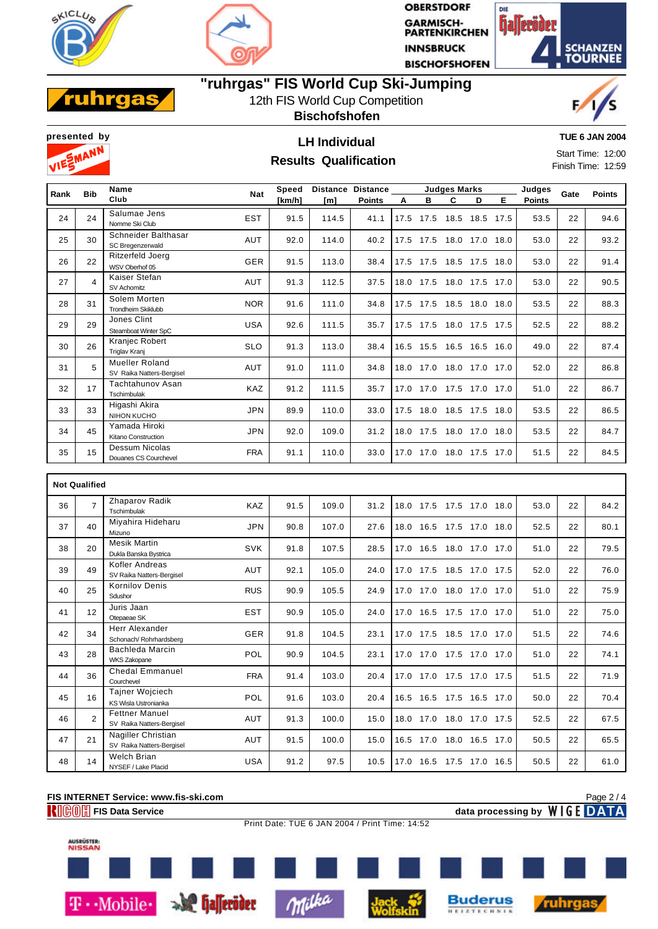



**OBERSTDORF GARMISCH-<br>PARTENKIRCHEN INNSBRUCK BISCHOFSHOFEN** 





## **"ruhrgas" FIS World Cup Ski-Jumping**

12th FIS World Cup Competition

**Bischofshofen**





### **TUE 6 JAN 2004**

**Results Qualification** 

Start Time: 12:00 Finish Time: 12:59

| Rank | <b>Bib</b>     | Name                                               | <b>Nat</b> | Speed  |       | Distance Distance |      | <b>Judges Marks</b>      |                     |           |      | Judges        | Gate | <b>Points</b> |
|------|----------------|----------------------------------------------------|------------|--------|-------|-------------------|------|--------------------------|---------------------|-----------|------|---------------|------|---------------|
|      |                | Club                                               |            | [km/h] | [m]   | <b>Points</b>     | А    | в                        | C                   | D         | E.   | <b>Points</b> |      |               |
| 24   | 24             | Salumae Jens<br>Nomme Ski Club                     | <b>EST</b> | 91.5   | 114.5 | 41.1              | 17.5 | 17.5                     | 18.5                | 18.5      | 17.5 | 53.5          | 22   | 94.6          |
| 25   | 30             | Schneider Balthasar<br>SC Bregenzerwald            | AUT        | 92.0   | 114.0 | 40.2              |      | 17.5 17.5 18.0 17.0 18.0 |                     |           |      | 53.0          | 22   | 93.2          |
| 26   | 22             | Ritzerfeld Joerg<br>WSV Oberhof 05                 | GER        | 91.5   | 113.0 | 38.4              | 17.5 |                          | 17.5 18.5 17.5      |           | 18.0 | 53.0          | 22   | 91.4          |
| 27   | $\overline{4}$ | Kaiser Stefan<br>SV Achomitz                       | AUT        | 91.3   | 112.5 | 37.5              |      | 18.0 17.5 18.0 17.5      |                     |           | 17.0 | 53.0          | 22   | 90.5          |
| 28   | 31             | Solem Morten<br><b>Trondheim Skiklubb</b>          | <b>NOR</b> | 91.6   | 111.0 | 34.8              |      | 17.5 17.5 18.5 18.0 18.0 |                     |           |      | 53.5          | 22   | 88.3          |
| 29   | 29             | Jones Clint<br>Steamboat Winter SpC                | <b>USA</b> | 92.6   | 111.5 | 35.7              |      | 17.5 17.5 18.0 17.5 17.5 |                     |           |      | 52.5          | 22   | 88.2          |
| 30   | 26             | Kranjec Robert<br><b>Triglav Kranj</b>             | <b>SLO</b> | 91.3   | 113.0 | 38.4              | 16.5 |                          | 15.5 16.5           | 16.5      | 16.0 | 49.0          | 22   | 87.4          |
| 31   | 5              | <b>Mueller Roland</b><br>SV Raika Natters-Bergisel | AUT        | 91.0   | 111.0 | 34.8              | 18.0 |                          | 17.0 18.0 17.0 17.0 |           |      | 52.0          | 22   | 86.8          |
| 32   | 17             | <b>Tachtahunov Asan</b><br>Tschimbulak             | KAZ        | 91.2   | 111.5 | 35.7              | 17.0 |                          | 17.0 17.5 17.0      |           | 17.0 | 51.0          | 22   | 86.7          |
| 33   | 33             | Higashi Akira<br>NIHON KUCHO                       | <b>JPN</b> | 89.9   | 110.0 | 33.0              | 17.5 |                          | 18.0 18.5 17.5      |           | 18.0 | 53.5          | 22   | 86.5          |
| 34   | 45             | Yamada Hiroki<br>Kitano Construction               | <b>JPN</b> | 92.0   | 109.0 | 31.2              | 18.0 |                          | 17.5 18.0 17.0 18.0 |           |      | 53.5          | 22   | 84.7          |
| 35   | 15             | Dessum Nicolas<br>Douanes CS Courchevel            | <b>FRA</b> | 91.1   | 110.0 | 33.0              | 17.0 | 17.0                     |                     | 18.0 17.5 | 17.0 | 51.5          | 22   | 84.5          |

|    | <b>Not Qualified</b> |                                                    |            |      |       |      |              |                |                |      |      |    |      |
|----|----------------------|----------------------------------------------------|------------|------|-------|------|--------------|----------------|----------------|------|------|----|------|
| 36 | $\overline{7}$       | Zhaparov Radik<br>Tschimbulak                      | KAZ        | 91.5 | 109.0 | 31.2 | 18.0         | 17.5 17.5 17.0 |                | 18.0 | 53.0 | 22 | 84.2 |
| 37 | 40                   | Miyahira Hideharu<br>Mizuno                        | <b>JPN</b> | 90.8 | 107.0 | 27.6 | 16.5<br>18.0 | 17.5           | 17.0           | 18.0 | 52.5 | 22 | 80.1 |
| 38 | 20                   | <b>Mesik Martin</b><br>Dukla Banska Bystrica       | <b>SVK</b> | 91.8 | 107.5 | 28.5 | 17.0<br>16.5 | 18.0 17.0      |                | 17.0 | 51.0 | 22 | 79.5 |
| 39 | 49                   | Kofler Andreas<br>SV Raika Natters-Bergisel        | <b>AUT</b> | 92.1 | 105.0 | 24.0 | 17.5<br>17.0 | 18.5 17.0      |                | 17.5 | 52.0 | 22 | 76.0 |
| 40 | 25                   | <b>Kornilov Denis</b><br>Sdushor                   | <b>RUS</b> | 90.9 | 105.5 | 24.9 | 17.0<br>17.0 | 18.0           | 17.0           | 17.0 | 51.0 | 22 | 75.9 |
| 41 | 12                   | Juris Jaan<br>Otepaeae SK                          | <b>EST</b> | 90.9 | 105.0 | 24.0 | 17.0<br>16.5 | 17.5 17.0      |                | 17.0 | 51.0 | 22 | 75.0 |
| 42 | 34                   | Herr Alexander<br>Schonach/Rohrhardsberg           | <b>GER</b> | 91.8 | 104.5 | 23.1 | 17.0<br>17.5 | 18.5 17.0      |                | 17.0 | 51.5 | 22 | 74.6 |
| 43 | 28                   | Bachleda Marcin<br><b>WKS Zakopane</b>             | POL        | 90.9 | 104.5 | 23.1 | 17.0<br>17.0 | 17.5           | 17.0           | 17.0 | 51.0 | 22 | 74.1 |
| 44 | 36                   | <b>Chedal Emmanuel</b><br>Courchevel               | <b>FRA</b> | 91.4 | 103.0 | 20.4 | 17.0<br>17.0 | 17.5 17.0      |                | 17.5 | 51.5 | 22 | 71.9 |
| 45 | 16                   | <b>Tainer Wojciech</b><br>KS Wisla Ustronianka     | POL        | 91.6 | 103.0 | 20.4 | 16.5<br>16.5 | 17.5 16.5 17.0 |                |      | 50.0 | 22 | 70.4 |
| 46 | $\overline{a}$       | <b>Fettner Manuel</b><br>SV Raika Natters-Bergisel | <b>AUT</b> | 91.3 | 100.0 | 15.0 | 17.0<br>18.0 |                | 18.0 17.0 17.5 |      | 52.5 | 22 | 67.5 |
| 47 | 21                   | Nagiller Christian<br>SV Raika Natters-Bergisel    | <b>AUT</b> | 91.5 | 100.0 | 15.0 | 17.0<br>16.5 |                | 18.0 16.5      | 17.0 | 50.5 | 22 | 65.5 |
| 48 | 14                   | Welch Brian<br>NYSEF / Lake Placid                 | <b>USA</b> | 91.2 | 97.5  | 10.5 | 17.0<br>16.5 | 17.5           | 17.0           | 16.5 | 50.5 | 22 | 61.0 |

#### **FIS INTERNET Service: www.fis-ski.com FIGOM** FIS Data Service data processing by **WIGE** DATA

Print Date: TUE 6 JAN 2004 / Print Time: 14:52

Page 2 / 4







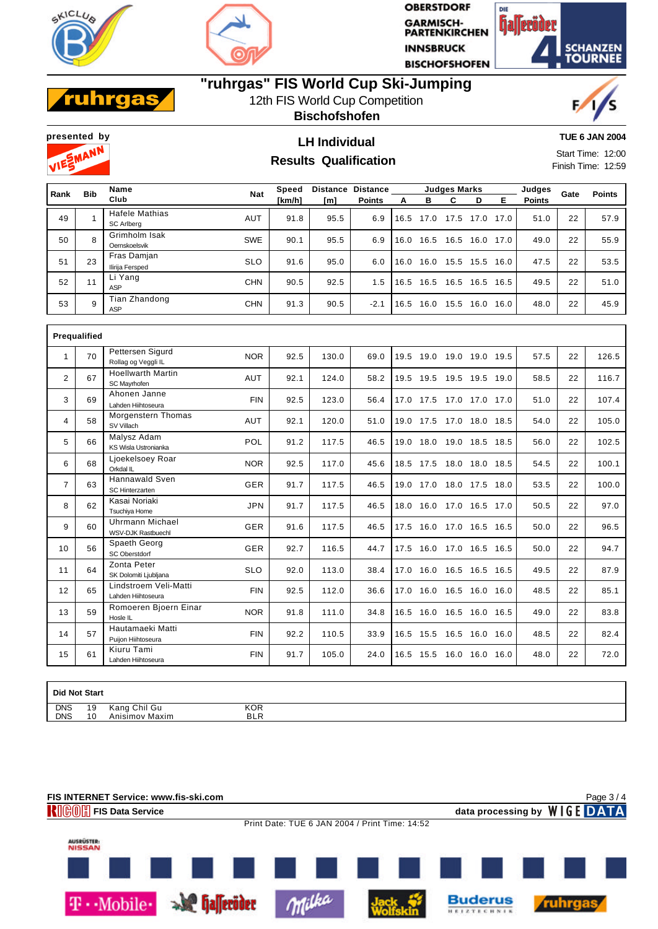



**OBERSTDORF GARMISCH-<br>PARTENKIRCHEN INNSBRUCK BISCHOFSHOFEN** 



#### hra II. a

# **"ruhrgas" FIS World Cup Ski-Jumping**

12th FIS World Cup Competition

**Bischofshofen**





## **presented by LH Individual Results Qualification**

**TUE 6 JAN 2004**

Start Time: 12:00 Finish Time: 12:59

| Rank | <b>Bib</b> | Name                                | <b>Nat</b> | Speed  | <b>Distance</b> | <b>Distance</b> |      |      | <b>Judges Marks</b> |      |      | Judges        | Gate | <b>Points</b> |
|------|------------|-------------------------------------|------------|--------|-----------------|-----------------|------|------|---------------------|------|------|---------------|------|---------------|
|      |            | Club                                |            | [km/h] | [m]             | <b>Points</b>   | А    | в    | С                   | D    | Е    | <b>Points</b> |      |               |
| 49   |            | <b>Hafele Mathias</b><br>SC Arlbera | <b>AUT</b> | 91.8   | 95.5            | 6.9             | 16.5 | 17.0 | 17.5                | 17.0 | 17.0 | 51.0          | 22   | 57.9          |
| 50   | 8          | Grimholm Isak<br>Oernskoelsvik      | <b>SWE</b> | 90.1   | 95.5            | 6.9             | 16.0 | 16.5 | 16.5                | 16.0 | 17.0 | 49.0          | 22   | 55.9          |
| 51   | 23         | Fras Damjan<br>Ilirija Fersped      | <b>SLO</b> | 91.6   | 95.0            | 6.0             | 16.0 | 16.0 | 15.5                | 15.5 | 16.0 | 47.5          | 22   | 53.5          |
| 52   | 11         | Li Yang<br>ASP                      | <b>CHN</b> | 90.5   | 92.5            | 1.5             | 16.5 | 16.5 | 16.5                | 16.5 | 16.5 | 49.5          | 22   | 51.0          |
| 53   | 9          | Tian Zhandong<br>ASP                | <b>CHN</b> | 91.3   | 90.5            | $-2.1$          | 16.5 | 16.0 | 15.5                | 16.0 | 16.0 | 48.0          | 22   | 45.9          |

|                | Prequalified |                                                 |            |      |       |      |                          |                     |      |      |    |       |
|----------------|--------------|-------------------------------------------------|------------|------|-------|------|--------------------------|---------------------|------|------|----|-------|
| 1              | 70           | Pettersen Sigurd<br>Rollag og Veggli IL         | <b>NOR</b> | 92.5 | 130.0 | 69.0 | 19.5                     | 19.0 19.0 19.0 19.5 |      | 57.5 | 22 | 126.5 |
| $\overline{2}$ | 67           | <b>Hoellwarth Martin</b><br>SC Mayrhofen        | <b>AUT</b> | 92.1 | 124.0 | 58.2 | 19.5                     | 19.5 19.5 19.5 19.0 |      | 58.5 | 22 | 116.7 |
| 3              | 69           | Ahonen Janne<br>Lahden Hiihtoseura              | <b>FIN</b> | 92.5 | 123.0 | 56.4 | 17.0                     | 17.5 17.0 17.0 17.0 |      | 51.0 | 22 | 107.4 |
| $\overline{4}$ | 58           | Morgenstern Thomas<br>SV Villach                | <b>AUT</b> | 92.1 | 120.0 | 51.0 | 19.0 17.5 17.0 18.0 18.5 |                     |      | 54.0 | 22 | 105.0 |
| 5              | 66           | Malysz Adam<br>KS Wisla Ustronianka             | POL        | 91.2 | 117.5 | 46.5 | 19.0                     | 18.0 19.0 18.5 18.5 |      | 56.0 | 22 | 102.5 |
| 6              | 68           | Ljoekelsoey Roar<br>Orkdal IL                   | <b>NOR</b> | 92.5 | 117.0 | 45.6 | 18.5 17.5 18.0 18.0      |                     | 18.5 | 54.5 | 22 | 100.1 |
| $\overline{7}$ | 63           | <b>Hannawald Sven</b><br><b>SC Hinterzarten</b> | <b>GER</b> | 91.7 | 117.5 | 46.5 | 19.0                     | 17.0 18.0 17.5 18.0 |      | 53.5 | 22 | 100.0 |
| 8              | 62           | Kasai Noriaki<br>Tsuchiya Home                  | <b>JPN</b> | 91.7 | 117.5 | 46.5 | 18.0                     | 16.0 17.0 16.5 17.0 |      | 50.5 | 22 | 97.0  |
| 9              | 60           | <b>Uhrmann Michael</b><br>WSV-DJK Rastbuechl    | <b>GER</b> | 91.6 | 117.5 | 46.5 | 17.5 16.0 17.0 16.5 16.5 |                     |      | 50.0 | 22 | 96.5  |
| 10             | 56           | Spaeth Georg<br>SC Oberstdorf                   | <b>GER</b> | 92.7 | 116.5 | 44.7 | 17.5                     | 16.0 17.0 16.5 16.5 |      | 50.0 | 22 | 94.7  |
| 11             | 64           | Zonta Peter<br>SK Dolomiti Ljubljana            | <b>SLO</b> | 92.0 | 113.0 | 38.4 | 17.0 16.0 16.5 16.5 16.5 |                     |      | 49.5 | 22 | 87.9  |
| 12             | 65           | Lindstroem Veli-Matti<br>Lahden Hiihtoseura     | <b>FIN</b> | 92.5 | 112.0 | 36.6 | 17.0 16.0 16.5 16.0 16.0 |                     |      | 48.5 | 22 | 85.1  |
| 13             | 59           | Romoeren Bjoern Einar<br>Hosle IL               | <b>NOR</b> | 91.8 | 111.0 | 34.8 | 16.5                     | 16.0 16.5 16.0 16.5 |      | 49.0 | 22 | 83.8  |
| 14             | 57           | Hautamaeki Matti<br>Puijon Hiihtoseura          | <b>FIN</b> | 92.2 | 110.5 | 33.9 | 16.5                     | 15.5 16.5 16.0 16.0 |      | 48.5 | 22 | 82.4  |
| 15             | 61           | Kiuru Tami<br>Lahden Hiihtoseura                | <b>FIN</b> | 91.7 | 105.0 | 24.0 | 16.5                     | 15.5 16.0 16.0 16.0 |      | 48.0 | 22 | 72.0  |

| <b>Did Not Start</b> |    |                |            |  |
|----------------------|----|----------------|------------|--|
| <b>DNS</b>           | 19 | Kang Chil Gu   | KOR        |  |
| <b>DNS</b>           | 10 | Anisimov Maxim | <b>BLR</b> |  |